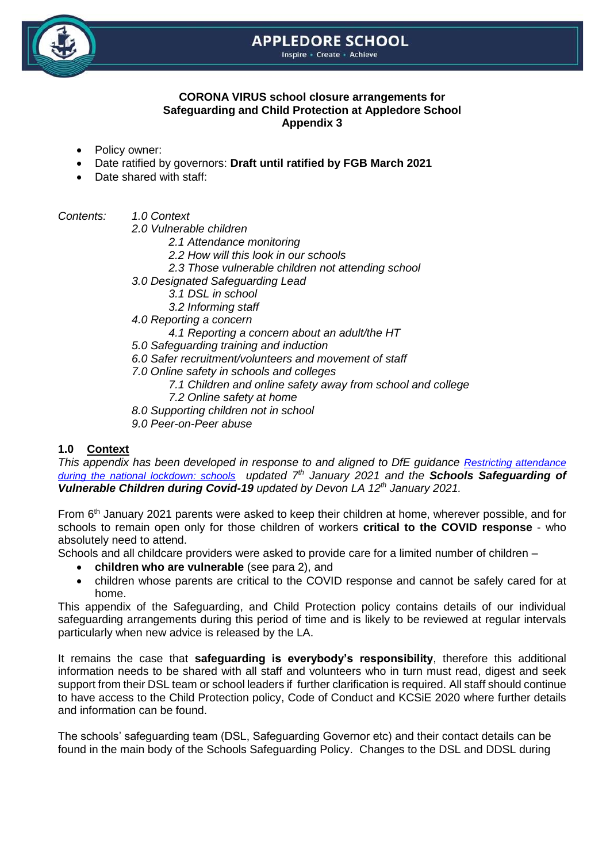# **APPLEDORE SCHOOL**

Inspire - Create - Achieve



#### **CORONA VIRUS school closure arrangements for Safeguarding and Child Protection at Appledore School Appendix 3**

- Policy owner:
- Date ratified by governors: **Draft until ratified by FGB March 2021**
- Date shared with staff:

*Contents: 1.0 Context*

- *2.0 Vulnerable children*
	- *2.1 Attendance monitoring*
	- *2.2 How will this look in our schools*
	- *2.3 Those vulnerable children not attending school*
- *3.0 Designated Safeguarding Lead*
	- *3.1 DSL in school*
	- *3.2 Informing staff*
- *4.0 Reporting a concern*
	- *4.1 Reporting a concern about an adult/the HT*
- *5.0 Safeguarding training and induction*
- *6.0 Safer recruitment/volunteers and movement of staff*
- *7.0 Online safety in schools and colleges*
	- *7.1 Children and online safety away from school and college*
	- *7.2 Online safety at home*
- *8.0 Supporting children not in school*
- *9.0 Peer-on-Peer abuse*

# **1.0 Context**

*This appendix has been developed in response to and aligned to DfE quidance Restricting attendance [during the national lockdown: schools](https://www.gov.uk/government/publications/actions-for-schools-during-the-coronavirus-outbreak) updated 7th January 2021 and the Schools Safeguarding of Vulnerable Children during Covid-19 updated by Devon LA 12th January 2021.*

From 6<sup>th</sup> January 2021 parents were asked to keep their children at home, wherever possible, and for schools to remain open only for those children of workers **critical to the COVID response** - who absolutely need to attend.

Schools and all childcare providers were asked to provide care for a limited number of children –

- **children who are vulnerable** (see para 2), and
- children whose parents are critical to the COVID response and cannot be safely cared for at home.

This appendix of the Safeguarding, and Child Protection policy contains details of our individual safeguarding arrangements during this period of time and is likely to be reviewed at regular intervals particularly when new advice is released by the LA.

It remains the case that **safeguarding is everybody's responsibility**, therefore this additional information needs to be shared with all staff and volunteers who in turn must read, digest and seek support from their DSL team or school leaders if further clarification is required. All staff should continue to have access to the Child Protection policy, Code of Conduct and KCSiE 2020 where further details and information can be found.

The schools' safeguarding team (DSL, Safeguarding Governor etc) and their contact details can be found in the main body of the Schools Safeguarding Policy. Changes to the DSL and DDSL during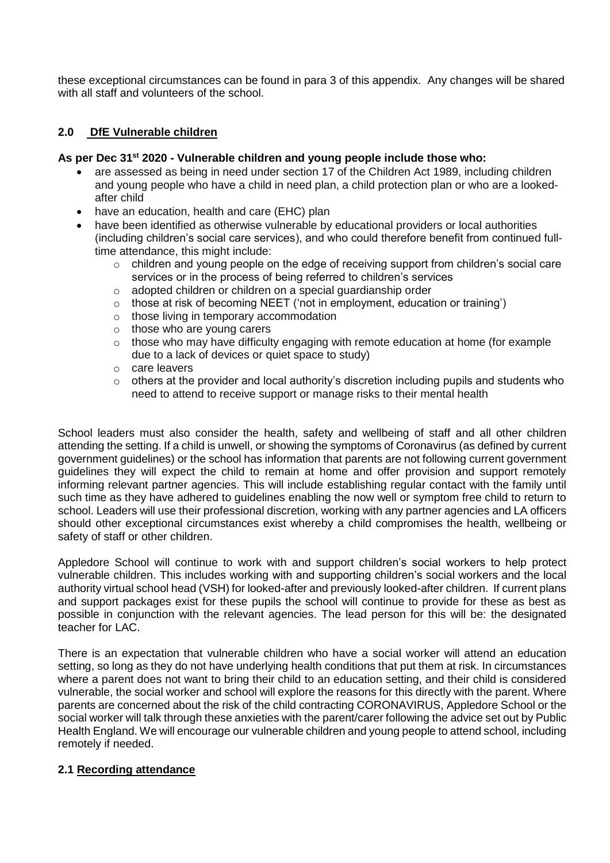these exceptional circumstances can be found in para 3 of this appendix. Any changes will be shared with all staff and volunteers of the school.

## **2.0 DfE Vulnerable children**

#### **As per Dec 31st 2020 - Vulnerable children and young people include those who:**

- are assessed as being in need under section 17 of the Children Act 1989, including children and young people who have a child in need plan, a child protection plan or who are a lookedafter child
- have an education, health and care (EHC) plan
- have been identified as otherwise vulnerable by educational providers or local authorities (including children's social care services), and who could therefore benefit from continued fulltime attendance, this might include:
	- o children and young people on the edge of receiving support from children's social care services or in the process of being referred to children's services
	- o adopted children or children on a special guardianship order
	- o those at risk of becoming NEET ('not in employment, education or training')
	- o those living in temporary accommodation
	- o those who are young carers
	- $\circ$  those who may have difficulty engaging with remote education at home (for example due to a lack of devices or quiet space to study)
	- o care leavers
	- $\circ$  others at the provider and local authority's discretion including pupils and students who need to attend to receive support or manage risks to their mental health

School leaders must also consider the health, safety and wellbeing of staff and all other children attending the setting. If a child is unwell, or showing the symptoms of Coronavirus (as defined by current government guidelines) or the school has information that parents are not following current government guidelines they will expect the child to remain at home and offer provision and support remotely informing relevant partner agencies. This will include establishing regular contact with the family until such time as they have adhered to guidelines enabling the now well or symptom free child to return to school. Leaders will use their professional discretion, working with any partner agencies and LA officers should other exceptional circumstances exist whereby a child compromises the health, wellbeing or safety of staff or other children.

Appledore School will continue to work with and support children's social workers to help protect vulnerable children. This includes working with and supporting children's social workers and the local authority virtual school head (VSH) for looked-after and previously looked-after children. If current plans and support packages exist for these pupils the school will continue to provide for these as best as possible in conjunction with the relevant agencies. The lead person for this will be: the designated teacher for LAC.

There is an expectation that vulnerable children who have a social worker will attend an education setting, so long as they do not have underlying health conditions that put them at risk. In circumstances where a parent does not want to bring their child to an education setting, and their child is considered vulnerable, the social worker and school will explore the reasons for this directly with the parent. Where parents are concerned about the risk of the child contracting CORONAVIRUS, Appledore School or the social worker will talk through these anxieties with the parent/carer following the advice set out by Public Health England. We will encourage our vulnerable children and young people to attend school, including remotely if needed.

# **2.1 Recording attendance**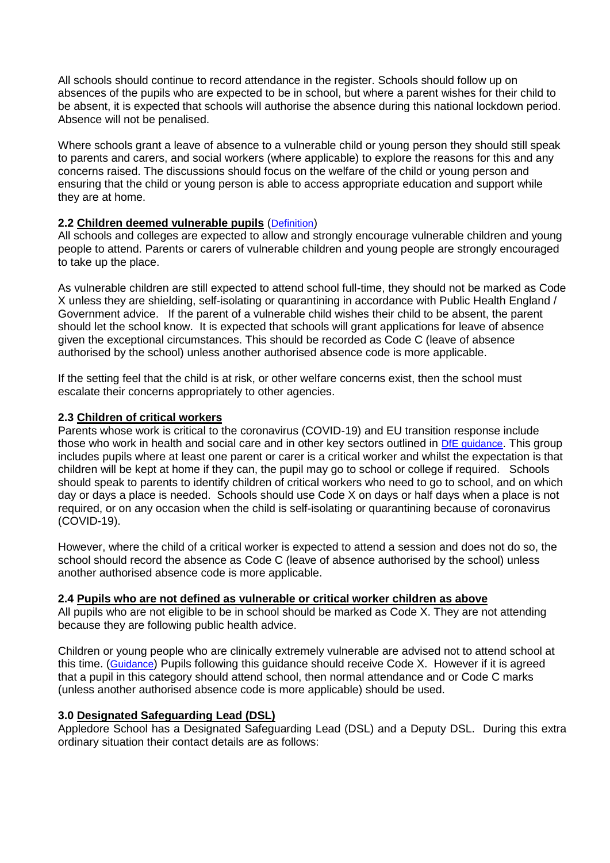All schools should continue to record attendance in the register. Schools should follow up on absences of the pupils who are expected to be in school, but where a parent wishes for their child to be absent, it is expected that schools will authorise the absence during this national lockdown period. Absence will not be penalised.

Where schools grant a leave of absence to a vulnerable child or young person they should still speak to parents and carers, and social workers (where applicable) to explore the reasons for this and any concerns raised. The discussions should focus on the welfare of the child or young person and ensuring that the child or young person is able to access appropriate education and support while they are at home.

## **2.2 Children deemed vulnerable pupils** ([Definition](https://www.gov.uk/government/publications/coronavirus-covid-19-maintaining-educational-provision/guidance-for-schools-colleges-and-local-authorities-on-maintaining-educational-provision))

All schools and colleges are expected to allow and strongly encourage vulnerable children and young people to attend. Parents or carers of vulnerable children and young people are strongly encouraged to take up the place.

As vulnerable children are still expected to attend school full-time, they should not be marked as Code X unless they are shielding, self-isolating or quarantining in accordance with Public Health England / Government advice. If the parent of a vulnerable child wishes their child to be absent, the parent should let the school know. It is expected that schools will grant applications for leave of absence given the exceptional circumstances. This should be recorded as Code C (leave of absence authorised by the school) unless another authorised absence code is more applicable.

If the setting feel that the child is at risk, or other welfare concerns exist, then the school must escalate their concerns appropriately to other agencies.

### **2.3 Children of critical workers**

Parents whose work is critical to the coronavirus (COVID-19) and EU transition response include those who work in health and social care and in other key sectors outlined in [DfE guidance](https://www.gov.uk/government/publications/coronavirus-covid-19-maintaining-educational-provision/guidance-for-schools-colleges-and-local-authorities-on-maintaining-educational-provision). This group includes pupils where at least one parent or carer is a critical worker and whilst the expectation is that children will be kept at home if they can, the pupil may go to school or college if required. Schools should speak to parents to identify children of critical workers who need to go to school, and on which day or days a place is needed. Schools should use Code X on days or half days when a place is not required, or on any occasion when the child is self-isolating or quarantining because of coronavirus (COVID-19).

However, where the child of a critical worker is expected to attend a session and does not do so, the school should record the absence as Code C (leave of absence authorised by the school) unless another authorised absence code is more applicable.

### **2.4 Pupils who are not defined as vulnerable or critical worker children as above**

All pupils who are not eligible to be in school should be marked as Code X. They are not attending because they are following public health advice.

Children or young people who are clinically extremely vulnerable are advised not to attend school at this time. ([Guidance](https://www.gov.uk/government/publications/guidance-on-shielding-and-protecting-extremely-vulnerable-persons-from-covid-19/guidance-on-shielding-and-protecting-extremely-vulnerable-persons-from-covid-19#education-settings)) Pupils following this guidance should receive Code X. However if it is agreed that a pupil in this category should attend school, then normal attendance and or Code C marks (unless another authorised absence code is more applicable) should be used.

# **3.0 Designated Safeguarding Lead (DSL)**

Appledore School has a Designated Safeguarding Lead (DSL) and a Deputy DSL. During this extra ordinary situation their contact details are as follows: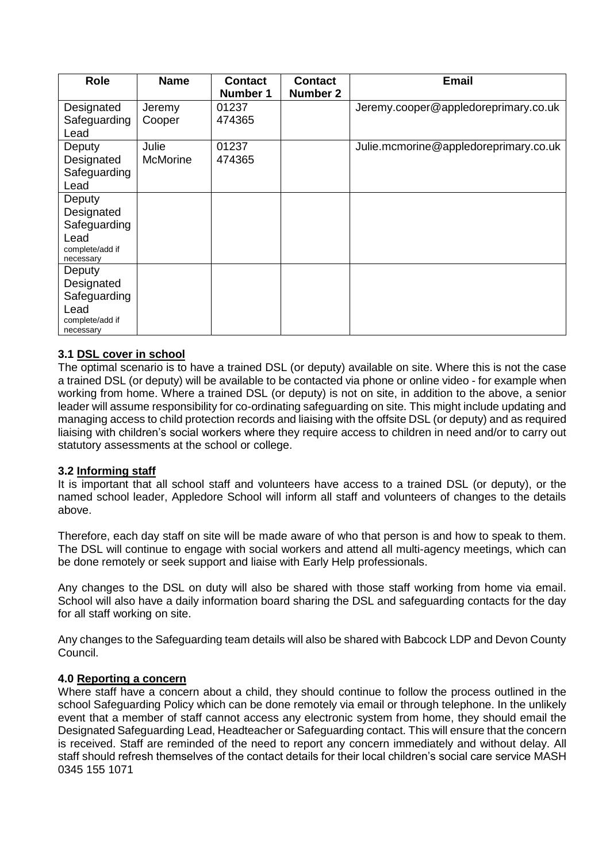| <b>Role</b>                                                                  | <b>Name</b>              | <b>Contact</b><br>Number 1 | <b>Contact</b><br><b>Number 2</b> | <b>Email</b>                          |
|------------------------------------------------------------------------------|--------------------------|----------------------------|-----------------------------------|---------------------------------------|
| Designated<br>Safeguarding<br>Lead                                           | Jeremy<br>Cooper         | 01237<br>474365            |                                   | Jeremy.cooper@appledoreprimary.co.uk  |
| Deputy<br>Designated<br>Safeguarding<br>Lead                                 | Julie<br><b>McMorine</b> | 01237<br>474365            |                                   | Julie.mcmorine@appledoreprimary.co.uk |
| Deputy<br>Designated<br>Safeguarding<br>Lead<br>complete/add if<br>necessary |                          |                            |                                   |                                       |
| Deputy<br>Designated<br>Safeguarding<br>Lead<br>complete/add if<br>necessary |                          |                            |                                   |                                       |

### **3.1 DSL cover in school**

The optimal scenario is to have a trained DSL (or deputy) available on site. Where this is not the case a trained DSL (or deputy) will be available to be contacted via phone or online video - for example when working from home. Where a trained DSL (or deputy) is not on site, in addition to the above, a senior leader will assume responsibility for co-ordinating safeguarding on site. This might include updating and managing access to child protection records and liaising with the offsite DSL (or deputy) and as required liaising with children's social workers where they require access to children in need and/or to carry out statutory assessments at the school or college.

### **3.2 Informing staff**

It is important that all school staff and volunteers have access to a trained DSL (or deputy), or the named school leader, Appledore School will inform all staff and volunteers of changes to the details above.

Therefore, each day staff on site will be made aware of who that person is and how to speak to them. The DSL will continue to engage with social workers and attend all multi-agency meetings, which can be done remotely or seek support and liaise with Early Help professionals.

Any changes to the DSL on duty will also be shared with those staff working from home via email. School will also have a daily information board sharing the DSL and safeguarding contacts for the day for all staff working on site.

Any changes to the Safeguarding team details will also be shared with Babcock LDP and Devon County Council.

### **4.0 Reporting a concern**

Where staff have a concern about a child, they should continue to follow the process outlined in the school Safeguarding Policy which can be done remotely via email or through telephone. In the unlikely event that a member of staff cannot access any electronic system from home, they should email the Designated Safeguarding Lead, Headteacher or Safeguarding contact. This will ensure that the concern is received. Staff are reminded of the need to report any concern immediately and without delay. All staff should refresh themselves of the contact details for their local children's social care service MASH 0345 155 1071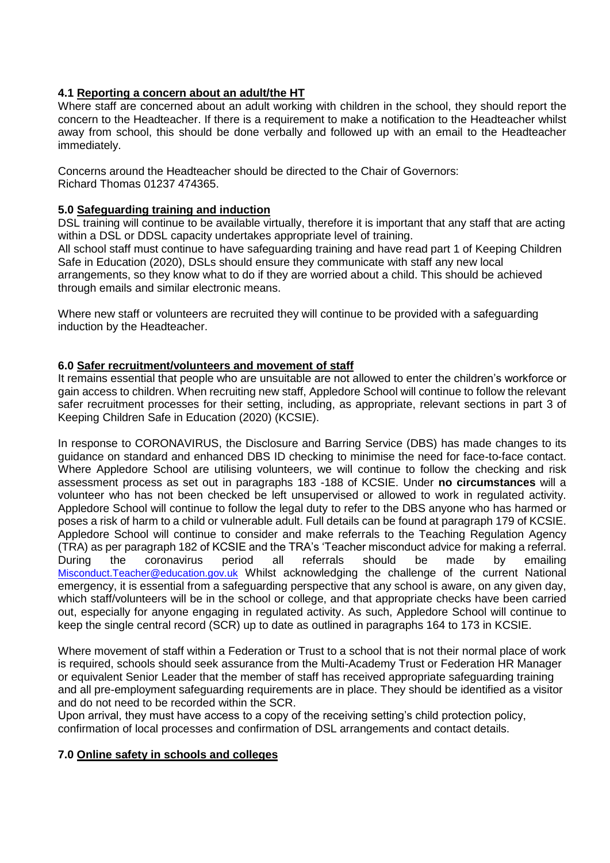## **4.1 Reporting a concern about an adult/the HT**

Where staff are concerned about an adult working with children in the school, they should report the concern to the Headteacher. If there is a requirement to make a notification to the Headteacher whilst away from school, this should be done verbally and followed up with an email to the Headteacher immediately.

Concerns around the Headteacher should be directed to the Chair of Governors: Richard Thomas 01237 474365.

### **5.0 Safeguarding training and induction**

DSL training will continue to be available virtually, therefore it is important that any staff that are acting within a DSL or DDSL capacity undertakes appropriate level of training. All school staff must continue to have safeguarding training and have read part 1 of Keeping Children Safe in Education (2020), DSLs should ensure they communicate with staff any new local arrangements, so they know what to do if they are worried about a child. This should be achieved through emails and similar electronic means.

Where new staff or volunteers are recruited they will continue to be provided with a safeguarding induction by the Headteacher.

### **6.0 Safer recruitment/volunteers and movement of staff**

It remains essential that people who are unsuitable are not allowed to enter the children's workforce or gain access to children. When recruiting new staff, Appledore School will continue to follow the relevant safer recruitment processes for their setting, including, as appropriate, relevant sections in part 3 of Keeping Children Safe in Education (2020) (KCSIE).

In response to CORONAVIRUS, the Disclosure and Barring Service (DBS) has made changes to its guidance on standard and enhanced DBS ID checking to minimise the need for face-to-face contact. Where Appledore School are utilising volunteers, we will continue to follow the checking and risk assessment process as set out in paragraphs 183 -188 of KCSIE. Under **no circumstances** will a volunteer who has not been checked be left unsupervised or allowed to work in regulated activity. Appledore School will continue to follow the legal duty to refer to the DBS anyone who has harmed or poses a risk of harm to a child or vulnerable adult. Full details can be found at paragraph 179 of KCSIE. Appledore School will continue to consider and make referrals to the Teaching Regulation Agency (TRA) as per paragraph 182 of KCSIE and the TRA's 'Teacher misconduct advice for making a referral. During the coronavirus period all referrals should be made by emailing [Misconduct.Teacher@education.gov.uk](mailto:Misconduct.Teacher@education.gov.uk) Whilst acknowledging the challenge of the current National emergency, it is essential from a safeguarding perspective that any school is aware, on any given day, which staff/volunteers will be in the school or college, and that appropriate checks have been carried out, especially for anyone engaging in regulated activity. As such, Appledore School will continue to keep the single central record (SCR) up to date as outlined in paragraphs 164 to 173 in KCSIE.

Where movement of staff within a Federation or Trust to a school that is not their normal place of work is required, schools should seek assurance from the Multi-Academy Trust or Federation HR Manager or equivalent Senior Leader that the member of staff has received appropriate safeguarding training and all pre-employment safeguarding requirements are in place. They should be identified as a visitor and do not need to be recorded within the SCR.

Upon arrival, they must have access to a copy of the receiving setting's child protection policy, confirmation of local processes and confirmation of DSL arrangements and contact details.

### **7.0 Online safety in schools and colleges**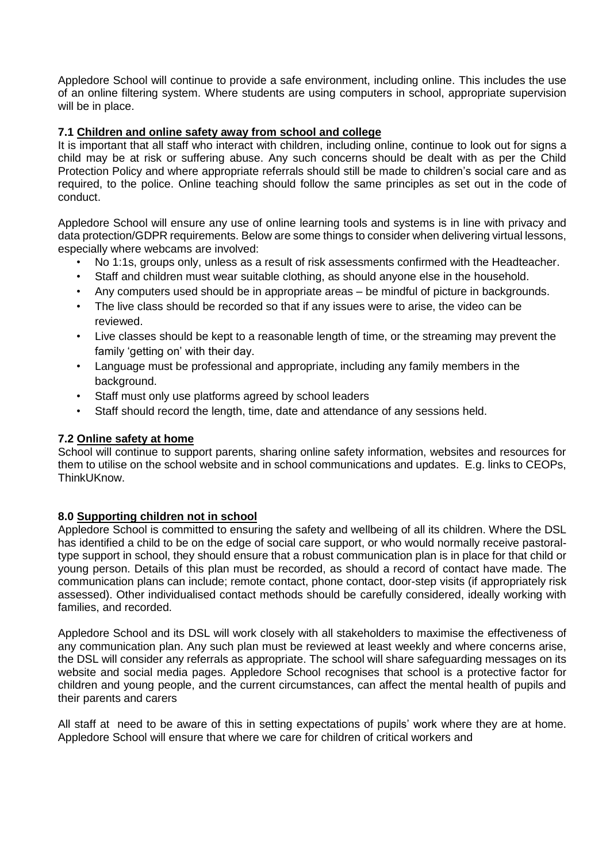Appledore School will continue to provide a safe environment, including online. This includes the use of an online filtering system. Where students are using computers in school, appropriate supervision will be in place.

## **7.1 Children and online safety away from school and college**

It is important that all staff who interact with children, including online, continue to look out for signs a child may be at risk or suffering abuse. Any such concerns should be dealt with as per the Child Protection Policy and where appropriate referrals should still be made to children's social care and as required, to the police. Online teaching should follow the same principles as set out in the code of conduct.

Appledore School will ensure any use of online learning tools and systems is in line with privacy and data protection/GDPR requirements. Below are some things to consider when delivering virtual lessons, especially where webcams are involved:

- No 1:1s, groups only, unless as a result of risk assessments confirmed with the Headteacher.
- Staff and children must wear suitable clothing, as should anyone else in the household.
- Any computers used should be in appropriate areas be mindful of picture in backgrounds.
- The live class should be recorded so that if any issues were to arise, the video can be reviewed.
- Live classes should be kept to a reasonable length of time, or the streaming may prevent the family 'getting on' with their day.
- Language must be professional and appropriate, including any family members in the background.
- Staff must only use platforms agreed by school leaders
- Staff should record the length, time, date and attendance of any sessions held.

### **7.2 Online safety at home**

School will continue to support parents, sharing online safety information, websites and resources for them to utilise on the school website and in school communications and updates. E.g. links to CEOPs, ThinkUKnow.

### **8.0 Supporting children not in school**

Appledore School is committed to ensuring the safety and wellbeing of all its children. Where the DSL has identified a child to be on the edge of social care support, or who would normally receive pastoraltype support in school, they should ensure that a robust communication plan is in place for that child or young person. Details of this plan must be recorded, as should a record of contact have made. The communication plans can include; remote contact, phone contact, door-step visits (if appropriately risk assessed). Other individualised contact methods should be carefully considered, ideally working with families, and recorded.

Appledore School and its DSL will work closely with all stakeholders to maximise the effectiveness of any communication plan. Any such plan must be reviewed at least weekly and where concerns arise, the DSL will consider any referrals as appropriate. The school will share safeguarding messages on its website and social media pages. Appledore School recognises that school is a protective factor for children and young people, and the current circumstances, can affect the mental health of pupils and their parents and carers

All staff at need to be aware of this in setting expectations of pupils' work where they are at home. Appledore School will ensure that where we care for children of critical workers and